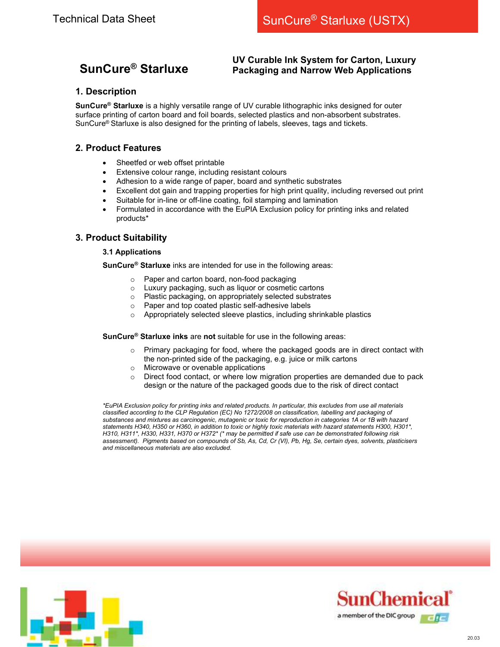# SunCure® Starluxe

## UV Curable Ink System for Carton, Luxury Packaging and Narrow Web Applications

# 1. Description

SunCure<sup>®</sup> Starluxe is a highly versatile range of UV curable lithographic inks designed for outer surface printing of carton board and foil boards, selected plastics and non-absorbent substrates. SunCure® Starluxe is also designed for the printing of labels, sleeves, tags and tickets.

# 2. Product Features

- Sheetfed or web offset printable
- Extensive colour range, including resistant colours
- Adhesion to a wide range of paper, board and synthetic substrates
- Excellent dot gain and trapping properties for high print quality, including reversed out print
- Suitable for in-line or off-line coating, foil stamping and lamination
- Formulated in accordance with the EuPIA Exclusion policy for printing inks and related products\*

# 3. Product Suitability

#### 3.1 Applications

SunCure<sup>®</sup> Starluxe inks are intended for use in the following areas:

- o Paper and carton board, non-food packaging
- o Luxury packaging, such as liquor or cosmetic cartons
- o Plastic packaging, on appropriately selected substrates
- o Paper and top coated plastic self-adhesive labels
- o Appropriately selected sleeve plastics, including shrinkable plastics

SunCure<sup>®</sup> Starluxe inks are not suitable for use in the following areas:

- o Primary packaging for food, where the packaged goods are in direct contact with the non-printed side of the packaging, e.g. juice or milk cartons
- o Microwave or ovenable applications
- $\circ$  Direct food contact, or where low migration properties are demanded due to pack design or the nature of the packaged goods due to the risk of direct contact

\*EuPIA Exclusion policy for printing inks and related products. In particular, this excludes from use all materials classified according to the CLP Regulation (EC) No 1272/2008 on classification, labelling and packaging of substances and mixtures as carcinogenic, mutagenic or toxic for reproduction in categories 1A or 1B with hazard statements H340, H350 or H360, in addition to toxic or highly toxic materials with hazard statements H300, H301\*, H310, H311\*, H330, H331, H370 or H372\* (\* may be permitted if safe use can be demonstrated following risk assessment). Pigments based on compounds of Sb, As, Cd, Cr (VI), Pb, Hg, Se, certain dyes, solvents, plasticisers and miscellaneous materials are also excluded.



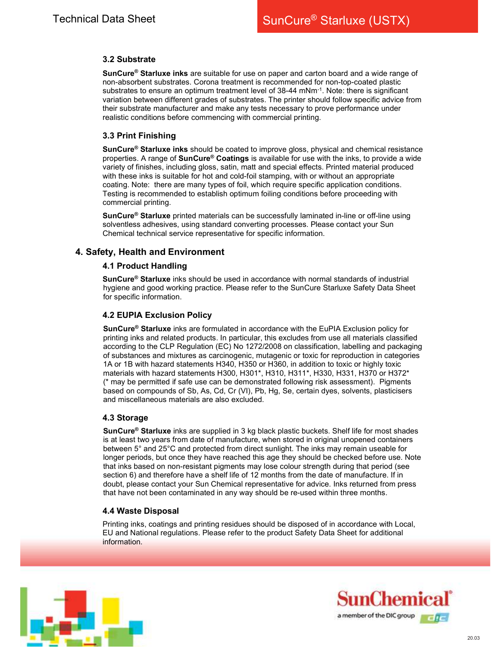## 3.2 Substrate

SunCure<sup>®</sup> Starluxe inks are suitable for use on paper and carton board and a wide range of non-absorbent substrates. Corona treatment is recommended for non-top-coated plastic substrates to ensure an optimum treatment level of 38-44 mNm-1. Note: there is significant variation between different grades of substrates. The printer should follow specific advice from their substrate manufacturer and make any tests necessary to prove performance under realistic conditions before commencing with commercial printing.

## 3.3 Print Finishing

SunCure<sup>®</sup> Starluxe inks should be coated to improve gloss, physical and chemical resistance properties. A range of **SunCure<sup>®</sup> Coatings** is available for use with the inks, to provide a wide variety of finishes, including gloss, satin, matt and special effects. Printed material produced with these inks is suitable for hot and cold-foil stamping, with or without an appropriate coating. Note: there are many types of foil, which require specific application conditions. Testing is recommended to establish optimum foiling conditions before proceeding with commercial printing.

SunCure<sup>®</sup> Starluxe printed materials can be successfully laminated in-line or off-line using solventless adhesives, using standard converting processes. Please contact your Sun Chemical technical service representative for specific information.

## 4. Safety, Health and Environment

## 4.1 Product Handling

SunCure<sup>®</sup> Starluxe inks should be used in accordance with normal standards of industrial hygiene and good working practice. Please refer to the SunCure Starluxe Safety Data Sheet for specific information.

## 4.2 EUPIA Exclusion Policy

SunCure<sup>®</sup> Starluxe inks are formulated in accordance with the EuPIA Exclusion policy for printing inks and related products. In particular, this excludes from use all materials classified according to the CLP Regulation (EC) No 1272/2008 on classification, labelling and packaging of substances and mixtures as carcinogenic, mutagenic or toxic for reproduction in categories 1A or 1B with hazard statements H340, H350 or H360, in addition to toxic or highly toxic materials with hazard statements H300, H301\*, H310, H311\*, H330, H331, H370 or H372\* (\* may be permitted if safe use can be demonstrated following risk assessment). Pigments based on compounds of Sb, As, Cd, Cr (VI), Pb, Hg, Se, certain dyes, solvents, plasticisers and miscellaneous materials are also excluded.

#### 4.3 Storage

SunCure<sup>®</sup> Starluxe inks are supplied in 3 kg black plastic buckets. Shelf life for most shades is at least two years from date of manufacture, when stored in original unopened containers between 5° and 25°C and protected from direct sunlight. The inks may remain useable for longer periods, but once they have reached this age they should be checked before use. Note that inks based on non-resistant pigments may lose colour strength during that period (see section 6) and therefore have a shelf life of 12 months from the date of manufacture. If in doubt, please contact your Sun Chemical representative for advice. Inks returned from press that have not been contaminated in any way should be re-used within three months.

#### 4.4 Waste Disposal

Printing inks, coatings and printing residues should be disposed of in accordance with Local, EU and National regulations. Please refer to the product Safety Data Sheet for additional information.



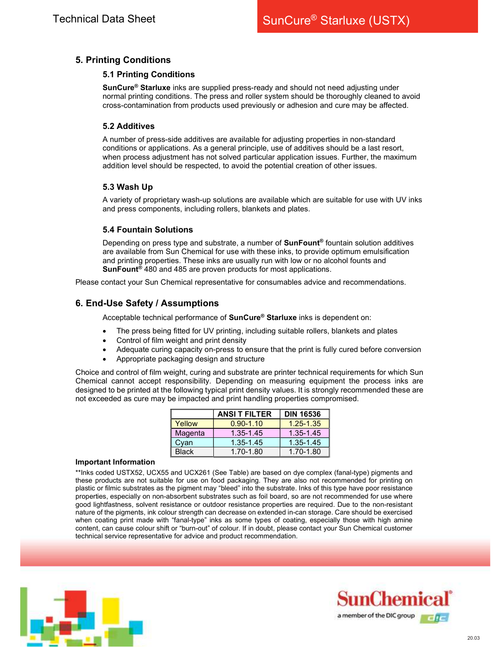# 5. Printing Conditions

### 5.1 Printing Conditions

SunCure<sup>®</sup> Starluxe inks are supplied press-ready and should not need adjusting under normal printing conditions. The press and roller system should be thoroughly cleaned to avoid cross-contamination from products used previously or adhesion and cure may be affected.

## 5.2 Additives

A number of press-side additives are available for adjusting properties in non-standard conditions or applications. As a general principle, use of additives should be a last resort, when process adjustment has not solved particular application issues. Further, the maximum addition level should be respected, to avoid the potential creation of other issues.

## 5.3 Wash Up

A variety of proprietary wash-up solutions are available which are suitable for use with UV inks and press components, including rollers, blankets and plates.

## 5.4 Fountain Solutions

Depending on press type and substrate, a number of SunFount® fountain solution additives are available from Sun Chemical for use with these inks, to provide optimum emulsification and printing properties. These inks are usually run with low or no alcohol founts and SunFount<sup>®</sup> 480 and 485 are proven products for most applications.

Please contact your Sun Chemical representative for consumables advice and recommendations.

# 6. End-Use Safety / Assumptions

Acceptable technical performance of **SunCure<sup>®</sup> Starluxe** inks is dependent on:

- The press being fitted for UV printing, including suitable rollers, blankets and plates
- Control of film weight and print density
- Adequate curing capacity on-press to ensure that the print is fully cured before conversion
- Appropriate packaging design and structure

Choice and control of film weight, curing and substrate are printer technical requirements for which Sun Chemical cannot accept responsibility. Depending on measuring equipment the process inks are designed to be printed at the following typical print density values. It is strongly recommended these are not exceeded as cure may be impacted and print handling properties compromised.

|              | <b>ANSI T FILTER</b> | <b>DIN 16536</b> |
|--------------|----------------------|------------------|
| Yellow       | $0.90 - 1.10$        | $1.25 - 1.35$    |
| Magenta      | 1.35-1.45            | $1.35 - 1.45$    |
| Cyan         | 1.35-1.45            | 1.35-1.45        |
| <b>Black</b> | 1.70-1.80            | 1.70-1.80        |

#### Important Information

\*\*Inks coded USTX52, UCX55 and UCX261 (See Table) are based on dye complex (fanal-type) pigments and these products are not suitable for use on food packaging. They are also not recommended for printing on plastic or filmic substrates as the pigment may "bleed" into the substrate. Inks of this type have poor resistance properties, especially on non-absorbent substrates such as foil board, so are not recommended for use where good lightfastness, solvent resistance or outdoor resistance properties are required. Due to the non-resistant nature of the pigments, ink colour strength can decrease on extended in-can storage. Care should be exercised when coating print made with "fanal-type" inks as some types of coating, especially those with high amine content, can cause colour shift or "burn-out" of colour. If in doubt, please contact your Sun Chemical customer technical service representative for advice and product recommendation.